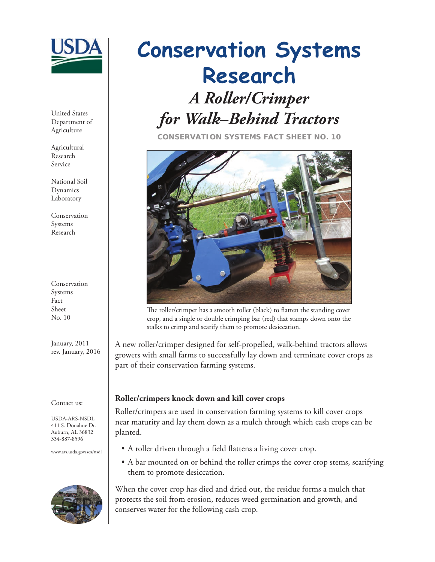

United States Department of Agriculture

Agricultural Research Service

National Soil Dynamics Laboratory

Conservation Systems Research

Conservation Systems Fact Sheet No. 10

January, 2011 rev. January, 2016

#### Contact us:

USDA-ARS-NSDL 411 S. Donahue Dr. Auburn, AL 36832 334-887-8596

www.ars.usda.gov/sea/nsdl



# *A Roller/Crimper for Walk–Behind Tractors* **Conservation Systems Research**

**CONSERVATION SYSTEMS FACT SHEET NO. 10**



The roller/crimper has a smooth roller (black) to flatten the standing cover crop, and a single or double crimping bar (red) that stamps down onto the stalks to crimp and scarify them to promote desiccation.

A new roller/crimper designed for self-propelled, walk-behind tractors allows growers with small farms to successfully lay down and terminate cover crops as part of their conservation farming systems.

## **Roller/crimpers knock down and kill cover crops**

Roller/crimpers are used in conservation farming systems to kill cover crops near maturity and lay them down as a mulch through which cash crops can be planted.

- A roller driven through a field flattens a living cover crop.
- A bar mounted on or behind the roller crimps the cover crop stems, scarifying them to promote desiccation.

When the cover crop has died and dried out, the residue forms a mulch that protects the soil from erosion, reduces weed germination and growth, and conserves water for the following cash crop.